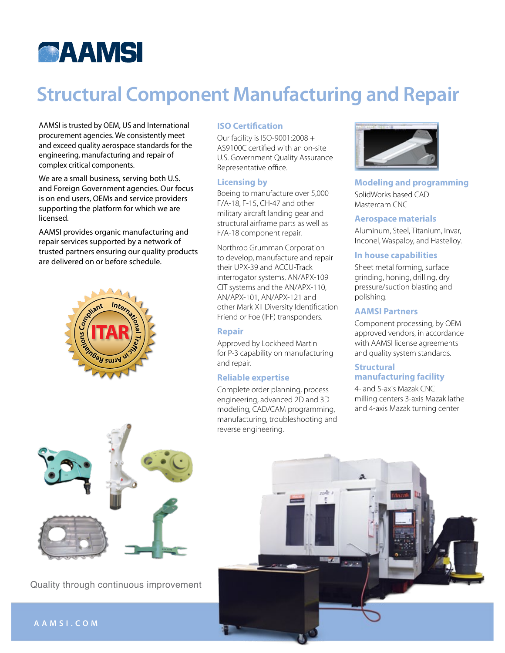

# **Structural Component Manufacturing and Repair** established our manufacturing facility in Fort Lauderdale, FL, with the capabilities to meet or exceed our

AAMSI is trusted by OEM, US and International procurement agencies. We consistently meet and exceed quality aerospace standards for the engineering, manufacturing and repair of complex critical components.

We are a small business, serving both U.S. and Foreign Government agencies. Our focus is on end users, OEMs and service providers supporting the platform for which we are licensed.

AAMSI provides organic manufacturing and repair services supported by a network of trusted partners ensuring our quality products are delivered on or before schedule.



Quality through continuous improvement

#### **ISO Certification**

Our facility is ISO-9001:2008 + AS9100C certified with an on-site U.S. Government Quality Assurance Representative office.

## **Licensing by**

Boeing to manufacture over 5,000 S. F/A-18, F-15, CH-47 and other military aircraft landing gear and structural airframe parts as well as F/A-18 component repair. center.

Northrop Grumman Corporation to develop, manufacture and repair their UPX-39 and ACCU-Track interrogator systems, AN/APX-109 CIT systems and the AN/APX-110, AN/APX-101, AN/APX-121 and other Mark XII Diversity Identification Friend or Foe (IFF) transponders.

#### **Repair**

Approved by Lockheed Martin for P-3 capability on manufacturing and repair.

#### **Reliable expertise**

Complete order planning, process engineering, advanced 2D and 3D modeling, CAD/CAM programming, manufacturing, troubleshooting and reverse engineering.



**Modeling and programming** SolidWorks based CAD Mastercam CNC

#### **Aerospace materials**

Aluminum, Steel, Titanium, Invar, Inconel, Waspaloy, and Hastelloy.

#### **In house capabilities**

Sheet metal forming, surface grinding, honing, drilling, dry pressure/suction blasting and polishing.

#### **AAMSI Partners**

Component processing, by OEM approved vendors, in accordance with AAMSI license agreements and quality system standards.

### **Structural Company** Anufacturing Manufacturing Structuring  $\frac{1}{2}$ **manufacturing facility**

4- and 5-axis Mazak CNC milling centers 3-axis Mazak lathe and 4-axis Mazak turning center